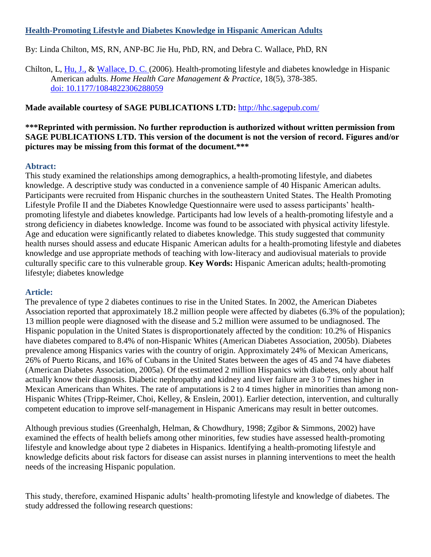## **Health-Promoting Lifestyle and Diabetes Knowledge in Hispanic American Adults**

By: Linda Chilton, MS, RN, ANP-BC Jie Hu, PhD, RN, and Debra C. Wallace, PhD, RN

Chilton, L, [Hu, J.,](http://libres.uncg.edu/ir/uncg/clist.aspx?id=1642) & [Wallace, D. C. \(](http://libres.uncg.edu/ir/uncg/clist.aspx?id=1653)2006). Health-promoting lifestyle and diabetes knowledge in Hispanic American adults. *Home Health Care Management & Practice*, 18(5), 378-385. [doi: 10.1177/1084822306288059](http://hhc.sagepub.com/content/18/5/378.abstract)

# **Made available courtesy of SAGE PUBLICATIONS LTD:** <http://hhc.sagepub.com/>

## **\*\*\*Reprinted with permission. No further reproduction is authorized without written permission from SAGE PUBLICATIONS LTD. This version of the document is not the version of record. Figures and/or pictures may be missing from this format of the document.\*\*\***

## **Abtract:**

This study examined the relationships among demographics, a health-promoting lifestyle, and diabetes knowledge. A descriptive study was conducted in a convenience sample of 40 Hispanic American adults. Participants were recruited from Hispanic churches in the southeastern United States. The Health Promoting Lifestyle Profile II and the Diabetes Knowledge Questionnaire were used to assess participants' healthpromoting lifestyle and diabetes knowledge. Participants had low levels of a health-promoting lifestyle and a strong deficiency in diabetes knowledge. Income was found to be associated with physical activity lifestyle. Age and education were significantly related to diabetes knowledge. This study suggested that community health nurses should assess and educate Hispanic American adults for a health-promoting lifestyle and diabetes knowledge and use appropriate methods of teaching with low-literacy and audiovisual materials to provide culturally specific care to this vulnerable group. **Key Words:** Hispanic American adults; health-promoting lifestyle; diabetes knowledge

## **Article:**

The prevalence of type 2 diabetes continues to rise in the United States. In 2002, the American Diabetes Association reported that approximately 18.2 million people were affected by diabetes (6.3% of the population); 13 million people were diagnosed with the disease and 5.2 million were assumed to be undiagnosed. The Hispanic population in the United States is disproportionately affected by the condition: 10.2% of Hispanics have diabetes compared to 8.4% of non-Hispanic Whites (American Diabetes Association, 2005b). Diabetes prevalence among Hispanics varies with the country of origin. Approximately 24% of Mexican Americans, 26% of Puerto Ricans, and 16% of Cubans in the United States between the ages of 45 and 74 have diabetes (American Diabetes Association, 2005a). Of the estimated 2 million Hispanics with diabetes, only about half actually know their diagnosis. Diabetic nephropathy and kidney and liver failure are 3 to 7 times higher in Mexican Americans than Whites. The rate of amputations is 2 to 4 times higher in minorities than among non-Hispanic Whites (Tripp-Reimer, Choi, Kelley, & Enslein, 2001). Earlier detection, intervention, and culturally competent education to improve self-management in Hispanic Americans may result in better outcomes.

Although previous studies (Greenhalgh, Helman, & Chowdhury, 1998; Zgibor & Simmons, 2002) have examined the effects of health beliefs among other minorities, few studies have assessed health-promoting lifestyle and knowledge about type 2 diabetes in Hispanics. Identifying a health-promoting lifestyle and knowledge deficits about risk factors for disease can assist nurses in planning interventions to meet the health needs of the increasing Hispanic population.

This study, therefore, examined Hispanic adults' health-promoting lifestyle and knowledge of diabetes. The study addressed the following research questions: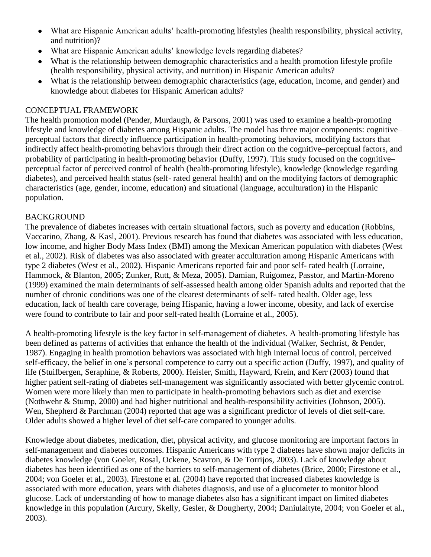- What are Hispanic American adults' health-promoting lifestyles (health responsibility, physical activity,  $\bullet$ and nutrition)?
- What are Hispanic American adults' knowledge levels regarding diabetes?
- What is the relationship between demographic characteristics and a health promotion lifestyle profile (health responsibility, physical activity, and nutrition) in Hispanic American adults?
- What is the relationship between demographic characteristics (age, education, income, and gender) and knowledge about diabetes for Hispanic American adults?

### CONCEPTUAL FRAMEWORK

The health promotion model (Pender, Murdaugh, & Parsons, 2001) was used to examine a health-promoting lifestyle and knowledge of diabetes among Hispanic adults. The model has three major components: cognitive– perceptual factors that directly influence participation in health-promoting behaviors, modifying factors that indirectly affect health-promoting behaviors through their direct action on the cognitive–perceptual factors, and probability of participating in health-promoting behavior (Duffy, 1997). This study focused on the cognitive– perceptual factor of perceived control of health (health-promoting lifestyle), knowledge (knowledge regarding diabetes), and perceived health status (self- rated general health) and on the modifying factors of demographic characteristics (age, gender, income, education) and situational (language, acculturation) in the Hispanic population.

### BACKGROUND

The prevalence of diabetes increases with certain situational factors, such as poverty and education (Robbins, Vaccarino, Zhang, & Kasl, 2001). Previous research has found that diabetes was associated with less education, low income, and higher Body Mass Index (BMI) among the Mexican American population with diabetes (West et al., 2002). Risk of diabetes was also associated with greater acculturation among Hispanic Americans with type 2 diabetes (West et al., 2002). Hispanic Americans reported fair and poor self- rated health (Lorraine, Hammock, & Blanton, 2005; Zunker, Rutt, & Meza, 2005). Damian, Ruigomez, Passtor, and Martin-Moreno (1999) examined the main determinants of self-assessed health among older Spanish adults and reported that the number of chronic conditions was one of the clearest determinants of self- rated health. Older age, less education, lack of health care coverage, being Hispanic, having a lower income, obesity, and lack of exercise were found to contribute to fair and poor self-rated health (Lorraine et al., 2005).

A health-promoting lifestyle is the key factor in self-management of diabetes. A health-promoting lifestyle has been defined as patterns of activities that enhance the health of the individual (Walker, Sechrist, & Pender, 1987). Engaging in health promotion behaviors was associated with high internal locus of control, perceived self-efficacy, the belief in one's personal competence to carry out a specific action (Duffy, 1997), and quality of life (Stuifbergen, Seraphine, & Roberts, 2000). Heisler, Smith, Hayward, Krein, and Kerr (2003) found that higher patient self-rating of diabetes self-management was significantly associated with better glycemic control. Women were more likely than men to participate in health-promoting behaviors such as diet and exercise (Nothwehr & Stump, 2000) and had higher nutritional and health-responsibility activities (Johnson, 2005). Wen, Shepherd & Parchman (2004) reported that age was a significant predictor of levels of diet self-care. Older adults showed a higher level of diet self-care compared to younger adults.

Knowledge about diabetes, medication, diet, physical activity, and glucose monitoring are important factors in self-management and diabetes outcomes. Hispanic Americans with type 2 diabetes have shown major deficits in diabetes knowledge (von Goeler, Rosal, Ockene, Scavron, & De Torrijos, 2003). Lack of knowledge about diabetes has been identified as one of the barriers to self-management of diabetes (Brice, 2000; Firestone et al., 2004; von Goeler et al., 2003). Firestone et al. (2004) have reported that increased diabetes knowledge is associated with more education, years with diabetes diagnosis, and use of a glucometer to monitor blood glucose. Lack of understanding of how to manage diabetes also has a significant impact on limited diabetes knowledge in this population (Arcury, Skelly, Gesler, & Dougherty, 2004; Daniulaityte, 2004; von Goeler et al., 2003).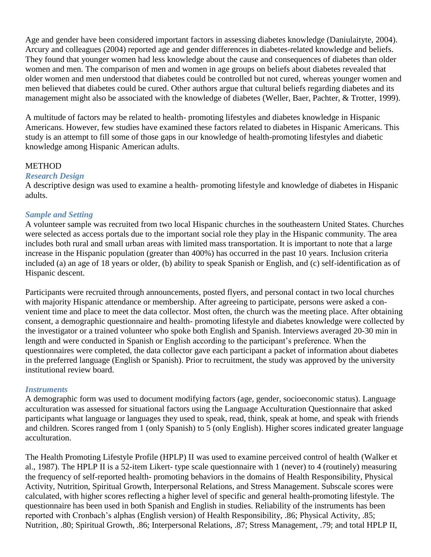Age and gender have been considered important factors in assessing diabetes knowledge (Daniulaityte, 2004). Arcury and colleagues (2004) reported age and gender differences in diabetes-related knowledge and beliefs. They found that younger women had less knowledge about the cause and consequences of diabetes than older women and men. The comparison of men and women in age groups on beliefs about diabetes revealed that older women and men understood that diabetes could be controlled but not cured, whereas younger women and men believed that diabetes could be cured. Other authors argue that cultural beliefs regarding diabetes and its management might also be associated with the knowledge of diabetes (Weller, Baer, Pachter, & Trotter, 1999).

A multitude of factors may be related to health- promoting lifestyles and diabetes knowledge in Hispanic Americans. However, few studies have examined these factors related to diabetes in Hispanic Americans. This study is an attempt to fill some of those gaps in our knowledge of health-promoting lifestyles and diabetic knowledge among Hispanic American adults.

### METHOD

#### *Research Design*

A descriptive design was used to examine a health- promoting lifestyle and knowledge of diabetes in Hispanic adults.

### *Sample and Setting*

A volunteer sample was recruited from two local Hispanic churches in the southeastern United States. Churches were selected as access portals due to the important social role they play in the Hispanic community. The area includes both rural and small urban areas with limited mass transportation. It is important to note that a large increase in the Hispanic population (greater than 400%) has occurred in the past 10 years. Inclusion criteria included (a) an age of 18 years or older, (b) ability to speak Spanish or English, and (c) self-identification as of Hispanic descent.

Participants were recruited through announcements, posted flyers, and personal contact in two local churches with majority Hispanic attendance or membership. After agreeing to participate, persons were asked a convenient time and place to meet the data collector. Most often, the church was the meeting place. After obtaining consent, a demographic questionnaire and health- promoting lifestyle and diabetes knowledge were collected by the investigator or a trained volunteer who spoke both English and Spanish. Interviews averaged 20-30 min in length and were conducted in Spanish or English according to the participant's preference. When the questionnaires were completed, the data collector gave each participant a packet of information about diabetes in the preferred language (English or Spanish). Prior to recruitment, the study was approved by the university institutional review board.

#### *Instruments*

A demographic form was used to document modifying factors (age, gender, socioeconomic status). Language acculturation was assessed for situational factors using the Language Acculturation Questionnaire that asked participants what language or languages they used to speak, read, think, speak at home, and speak with friends and children. Scores ranged from 1 (only Spanish) to 5 (only English). Higher scores indicated greater language acculturation.

The Health Promoting Lifestyle Profile (HPLP) II was used to examine perceived control of health (Walker et al., 1987). The HPLP II is a 52-item Likert- type scale questionnaire with 1 (never) to 4 (routinely) measuring the frequency of self-reported health- promoting behaviors in the domains of Health Responsibility, Physical Activity, Nutrition, Spiritual Growth, Interpersonal Relations, and Stress Management. Subscale scores were calculated, with higher scores reflecting a higher level of specific and general health-promoting lifestyle. The questionnaire has been used in both Spanish and English in studies. Reliability of the instruments has been reported with Cronbach's alphas (English version) of Health Responsibility, .86; Physical Activity, .85; Nutrition, .80; Spiritual Growth, .86; Interpersonal Relations, .87; Stress Management, .79; and total HPLP II,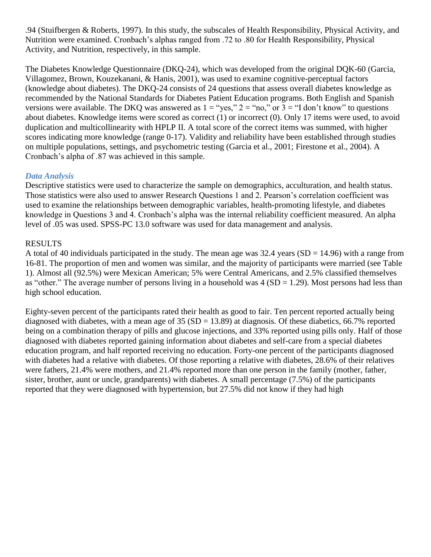.94 (Stuifbergen & Roberts, 1997). In this study, the subscales of Health Responsibility, Physical Activity, and Nutrition were examined. Cronbach's alphas ranged from .72 to .80 for Health Responsibility, Physical Activity, and Nutrition, respectively, in this sample.

The Diabetes Knowledge Questionnaire (DKQ-24), which was developed from the original DQK-60 (Garcia, Villagomez, Brown, Kouzekanani, & Hanis, 2001), was used to examine cognitive-perceptual factors (knowledge about diabetes). The DKQ-24 consists of 24 questions that assess overall diabetes knowledge as recommended by the National Standards for Diabetes Patient Education programs. Both English and Spanish versions were available. The DKQ was answered as  $1 =$  "yes,"  $2 =$  "no," or  $3 =$  "I don't know" to questions about diabetes. Knowledge items were scored as correct (1) or incorrect (0). Only 17 items were used, to avoid duplication and multicollinearity with HPLP II. A total score of the correct items was summed, with higher scores indicating more knowledge (range 0-17). Validity and reliability have been established through studies on multiple populations, settings, and psychometric testing (Garcia et al., 2001; Firestone et al., 2004). A Cronbach's alpha of .87 was achieved in this sample.

## *Data Analysis*

Descriptive statistics were used to characterize the sample on demographics, acculturation, and health status. Those statistics were also used to answer Research Questions 1 and 2. Pearson's correlation coefficient was used to examine the relationships between demographic variables, health-promoting lifestyle, and diabetes knowledge in Questions 3 and 4. Cronbach's alpha was the internal reliability coefficient measured. An alpha level of .05 was used. SPSS-PC 13.0 software was used for data management and analysis.

# RESULTS

A total of 40 individuals participated in the study. The mean age was  $32.4$  years (SD = 14.96) with a range from 16-81. The proportion of men and women was similar, and the majority of participants were married (see Table 1). Almost all (92.5%) were Mexican American; 5% were Central Americans, and 2.5% classified themselves as "other." The average number of persons living in a household was  $4 (SD = 1.29)$ . Most persons had less than high school education.

Eighty-seven percent of the participants rated their health as good to fair. Ten percent reported actually being diagnosed with diabetes, with a mean age of  $35 (SD = 13.89)$  at diagnosis. Of these diabetics, 66.7% reported being on a combination therapy of pills and glucose injections, and 33% reported using pills only. Half of those diagnosed with diabetes reported gaining information about diabetes and self-care from a special diabetes education program, and half reported receiving no education. Forty-one percent of the participants diagnosed with diabetes had a relative with diabetes. Of those reporting a relative with diabetes, 28.6% of their relatives were fathers, 21.4% were mothers, and 21.4% reported more than one person in the family (mother, father, sister, brother, aunt or uncle, grandparents) with diabetes. A small percentage (7.5%) of the participants reported that they were diagnosed with hypertension, but 27.5% did not know if they had high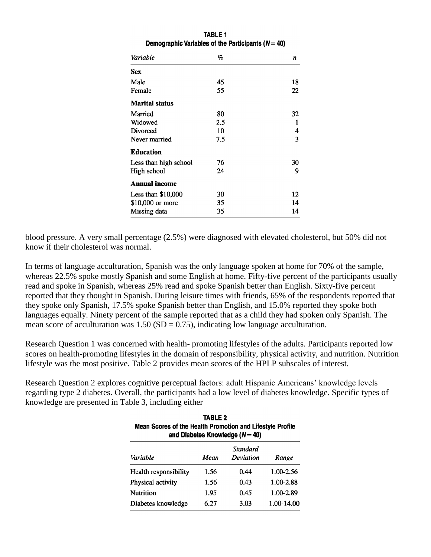| Demographic Variables of the Participants ( $N = 40$ ) |     |    |  |
|--------------------------------------------------------|-----|----|--|
| Variable                                               | %   | n  |  |
| <b>Sex</b>                                             |     |    |  |
| Male                                                   | 45  | 18 |  |
| Female                                                 | 55  | 22 |  |
| <b>Marital status</b>                                  |     |    |  |
| Married                                                | 80  | 32 |  |
| Widowed                                                | 2.5 | 1  |  |
| Divorced                                               | 10  | 4  |  |
| Never married                                          | 7.5 | 3  |  |
| <b>Education</b>                                       |     |    |  |
| Less than high school                                  | 76  | 30 |  |
| High school                                            | 24  | 9  |  |
| <b>Annual income</b>                                   |     |    |  |
| Less than $$10,000$                                    | 30  | 12 |  |
| \$10,000 or more                                       | 35  | 14 |  |
| Missing data                                           | 35  | 14 |  |

| <b>TABLE 1</b>                                         |  |  |
|--------------------------------------------------------|--|--|
| Demographic Variables of the Participants ( $N = 40$ ) |  |  |

blood pressure. A very small percentage (2.5%) were diagnosed with elevated cholesterol, but 50% did not know if their cholesterol was normal.

In terms of language acculturation, Spanish was the only language spoken at home for 70% of the sample, whereas 22.5% spoke mostly Spanish and some English at home. Fifty-five percent of the participants usually read and spoke in Spanish, whereas 25% read and spoke Spanish better than English. Sixty-five percent reported that they thought in Spanish. During leisure times with friends, 65% of the respondents reported that they spoke only Spanish, 17.5% spoke Spanish better than English, and 15.0% reported they spoke both languages equally. Ninety percent of the sample reported that as a child they had spoken only Spanish. The mean score of acculturation was  $1.50$  (SD = 0.75), indicating low language acculturation.

Research Question 1 was concerned with health- promoting lifestyles of the adults. Participants reported low scores on health-promoting lifestyles in the domain of responsibility, physical activity, and nutrition. Nutrition lifestyle was the most positive. Table 2 provides mean scores of the HPLP subscales of interest.

Research Question 2 explores cognitive perceptual factors: adult Hispanic Americans' knowledge levels regarding type 2 diabetes. Overall, the participants had a low level of diabetes knowledge. Specific types of knowledge are presented in Table 3, including either

| TABLE 2<br>Mean Scores of the Health Promotion and Lifestyle Profile<br>and Diabetes Knowledge ( $N = 40$ ) |      |       |            |  |  |  |
|-------------------------------------------------------------------------------------------------------------|------|-------|------------|--|--|--|
| Variable                                                                                                    | Mean | Range |            |  |  |  |
| Health responsibility                                                                                       | 1.56 | 0.44  | 1.00-2.56  |  |  |  |
| Physical activity                                                                                           | 1.56 | 0.43  | 1.00-2.88  |  |  |  |
| <b>Nutrition</b>                                                                                            | 1.95 | 0.45  | 1.00-2.89  |  |  |  |
| Diabetes knowledge                                                                                          | 6.27 | 3.03  | 1.00-14.00 |  |  |  |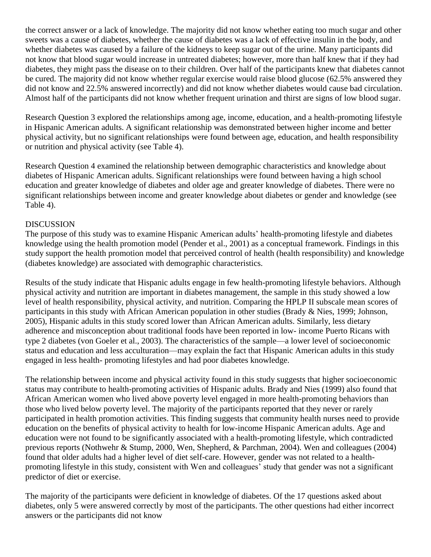the correct answer or a lack of knowledge. The majority did not know whether eating too much sugar and other sweets was a cause of diabetes, whether the cause of diabetes was a lack of effective insulin in the body, and whether diabetes was caused by a failure of the kidneys to keep sugar out of the urine. Many participants did not know that blood sugar would increase in untreated diabetes; however, more than half knew that if they had diabetes, they might pass the disease on to their children. Over half of the participants knew that diabetes cannot be cured. The majority did not know whether regular exercise would raise blood glucose (62.5% answered they did not know and 22.5% answered incorrectly) and did not know whether diabetes would cause bad circulation. Almost half of the participants did not know whether frequent urination and thirst are signs of low blood sugar.

Research Question 3 explored the relationships among age, income, education, and a health-promoting lifestyle in Hispanic American adults. A significant relationship was demonstrated between higher income and better physical activity, but no significant relationships were found between age, education, and health responsibility or nutrition and physical activity (see Table 4).

Research Question 4 examined the relationship between demographic characteristics and knowledge about diabetes of Hispanic American adults. Significant relationships were found between having a high school education and greater knowledge of diabetes and older age and greater knowledge of diabetes. There were no significant relationships between income and greater knowledge about diabetes or gender and knowledge (see Table 4).

## DISCUSSION

The purpose of this study was to examine Hispanic American adults' health-promoting lifestyle and diabetes knowledge using the health promotion model (Pender et al., 2001) as a conceptual framework. Findings in this study support the health promotion model that perceived control of health (health responsibility) and knowledge (diabetes knowledge) are associated with demographic characteristics.

Results of the study indicate that Hispanic adults engage in few health-promoting lifestyle behaviors. Although physical activity and nutrition are important in diabetes management, the sample in this study showed a low level of health responsibility, physical activity, and nutrition. Comparing the HPLP II subscale mean scores of participants in this study with African American population in other studies (Brady & Nies, 1999; Johnson, 2005), Hispanic adults in this study scored lower than African American adults. Similarly, less dietary adherence and misconception about traditional foods have been reported in low- income Puerto Ricans with type 2 diabetes (von Goeler et al., 2003). The characteristics of the sample—a lower level of socioeconomic status and education and less acculturation—may explain the fact that Hispanic American adults in this study engaged in less health- promoting lifestyles and had poor diabetes knowledge.

The relationship between income and physical activity found in this study suggests that higher socioeconomic status may contribute to health-promoting activities of Hispanic adults. Brady and Nies (1999) also found that African American women who lived above poverty level engaged in more health-promoting behaviors than those who lived below poverty level. The majority of the participants reported that they never or rarely participated in health promotion activities. This finding suggests that community health nurses need to provide education on the benefits of physical activity to health for low-income Hispanic American adults. Age and education were not found to be significantly associated with a health-promoting lifestyle, which contradicted previous reports (Nothwehr & Stump, 2000, Wen, Shepherd, & Parchman, 2004). Wen and colleagues (2004) found that older adults had a higher level of diet self-care. However, gender was not related to a healthpromoting lifestyle in this study, consistent with Wen and colleagues' study that gender was not a significant predictor of diet or exercise.

The majority of the participants were deficient in knowledge of diabetes. Of the 17 questions asked about diabetes, only 5 were answered correctly by most of the participants. The other questions had either incorrect answers or the participants did not know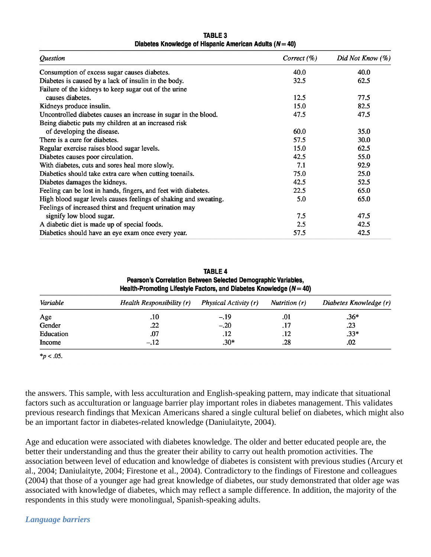| <b>TABLE 3</b>                                              |  |
|-------------------------------------------------------------|--|
| Diabetes Knowledge of Hispanic American Adults ( $N = 40$ ) |  |

| Question                                                         | Correct $(\% )$ | Did Not Know (%) |
|------------------------------------------------------------------|-----------------|------------------|
| Consumption of excess sugar causes diabetes.                     | 40.0            | 40.0             |
| Diabetes is caused by a lack of insulin in the body.             | 32.5            | 62.5             |
| Failure of the kidneys to keep sugar out of the urine            |                 |                  |
| causes diabetes.                                                 | 12.5            | 77.5             |
| Kidneys produce insulin.                                         | 15.0            | 82.5             |
| Uncontrolled diabetes causes an increase in sugar in the blood.  | 47.5            | 47.5             |
| Being diabetic puts my children at an increased risk             |                 |                  |
| of developing the disease.                                       | 60.0            | <b>35.0</b>      |
| There is a cure for diabetes.                                    | 57.5            | <b>30.0</b>      |
| Regular exercise raises blood sugar levels.                      | 15.0            | 62.5             |
| Diabetes causes poor circulation.                                | 42.5            | 55.0             |
| With diabetes, cuts and sores heal more slowly.                  | 7.1             | 92.9             |
| Diabetics should take extra care when cutting to enails.         | 75.0            | 25.0             |
| Diabetes damages the kidneys.                                    | 42.5            | 52.5             |
| Feeling can be lost in hands, fingers, and feet with diabetes.   | 22.5            | 65.0             |
| High blood sugar levels causes feelings of shaking and sweating. | 5.0             | 65.0             |
| Feelings of increased thirst and frequent urination may          |                 |                  |
| signify low blood sugar.                                         | 7.5             | 47.5             |
| A diabetic diet is made up of special foods.                     | 2.5             | 42.5             |
| Diabetics should have an eye exam once every year.               | 57.5            | 42.5             |

| <b>TABLE 4</b><br>Pearson's Correlation Between Selected Demographic Variables,<br>Health-Promoting Lifestyle Factors, and Diabetes Knowledge ( $N = 40$ ) |                                  |                              |               |                        |  |
|------------------------------------------------------------------------------------------------------------------------------------------------------------|----------------------------------|------------------------------|---------------|------------------------|--|
| Variable                                                                                                                                                   | <i>Health Responsibility (r)</i> | <b>Physical Activity (r)</b> | Nutrition (r) | Diabetes Knowledge (r) |  |
| Age                                                                                                                                                        | .10                              | $-.19$                       | .01           | $.36*$                 |  |
| Gender                                                                                                                                                     | .22                              | $-.20$                       | .17           | .23                    |  |
| Education                                                                                                                                                  | .07                              | .12                          | .12           | $.33*$                 |  |
| Income                                                                                                                                                     | $-.12$                           | .30*                         | .28           | .02                    |  |

 $*_{p}$  < .05.

the answers. This sample, with less acculturation and English-speaking pattern, may indicate that situational factors such as acculturation or language barrier play important roles in diabetes management. This validates previous research findings that Mexican Americans shared a single cultural belief on diabetes, which might also be an important factor in diabetes-related knowledge (Daniulaityte, 2004).

Age and education were associated with diabetes knowledge. The older and better educated people are, the better their understanding and thus the greater their ability to carry out health promotion activities. The association between level of education and knowledge of diabetes is consistent with previous studies (Arcury et al., 2004; Daniulaityte, 2004; Firestone et al., 2004). Contradictory to the findings of Firestone and colleagues (2004) that those of a younger age had great knowledge of diabetes, our study demonstrated that older age was associated with knowledge of diabetes, which may reflect a sample difference. In addition, the majority of the respondents in this study were monolingual, Spanish-speaking adults.

## *Language barriers*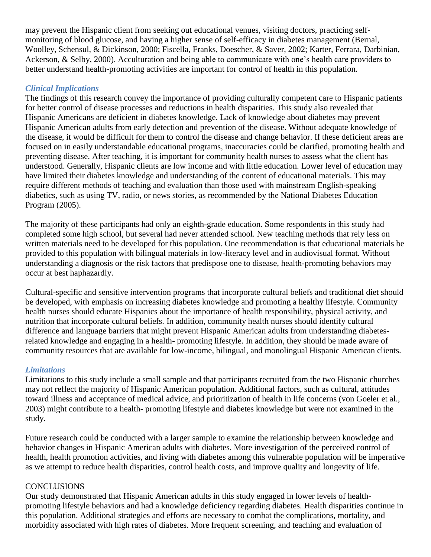may prevent the Hispanic client from seeking out educational venues, visiting doctors, practicing selfmonitoring of blood glucose, and having a higher sense of self-efficacy in diabetes management (Bernal, Woolley, Schensul, & Dickinson, 2000; Fiscella, Franks, Doescher, & Saver, 2002; Karter, Ferrara, Darbinian, Ackerson, & Selby, 2000). Acculturation and being able to communicate with one's health care providers to better understand health-promoting activities are important for control of health in this population.

## *Clinical Implications*

The findings of this research convey the importance of providing culturally competent care to Hispanic patients for better control of disease processes and reductions in health disparities. This study also revealed that Hispanic Americans are deficient in diabetes knowledge. Lack of knowledge about diabetes may prevent Hispanic American adults from early detection and prevention of the disease. Without adequate knowledge of the disease, it would be difficult for them to control the disease and change behavior. If these deficient areas are focused on in easily understandable educational programs, inaccuracies could be clarified, promoting health and preventing disease. After teaching, it is important for community health nurses to assess what the client has understood. Generally, Hispanic clients are low income and with little education. Lower level of education may have limited their diabetes knowledge and understanding of the content of educational materials. This may require different methods of teaching and evaluation than those used with mainstream English-speaking diabetics, such as using TV, radio, or news stories, as recommended by the National Diabetes Education Program (2005).

The majority of these participants had only an eighth-grade education. Some respondents in this study had completed some high school, but several had never attended school. New teaching methods that rely less on written materials need to be developed for this population. One recommendation is that educational materials be provided to this population with bilingual materials in low-literacy level and in audiovisual format. Without understanding a diagnosis or the risk factors that predispose one to disease, health-promoting behaviors may occur at best haphazardly.

Cultural-specific and sensitive intervention programs that incorporate cultural beliefs and traditional diet should be developed, with emphasis on increasing diabetes knowledge and promoting a healthy lifestyle. Community health nurses should educate Hispanics about the importance of health responsibility, physical activity, and nutrition that incorporate cultural beliefs. In addition, community health nurses should identify cultural difference and language barriers that might prevent Hispanic American adults from understanding diabetesrelated knowledge and engaging in a health- promoting lifestyle. In addition, they should be made aware of community resources that are available for low-income, bilingual, and monolingual Hispanic American clients.

### *Limitations*

Limitations to this study include a small sample and that participants recruited from the two Hispanic churches may not reflect the majority of Hispanic American population. Additional factors, such as cultural, attitudes toward illness and acceptance of medical advice, and prioritization of health in life concerns (von Goeler et al., 2003) might contribute to a health- promoting lifestyle and diabetes knowledge but were not examined in the study.

Future research could be conducted with a larger sample to examine the relationship between knowledge and behavior changes in Hispanic American adults with diabetes. More investigation of the perceived control of health, health promotion activities, and living with diabetes among this vulnerable population will be imperative as we attempt to reduce health disparities, control health costs, and improve quality and longevity of life.

## CONCLUSIONS

Our study demonstrated that Hispanic American adults in this study engaged in lower levels of healthpromoting lifestyle behaviors and had a knowledge deficiency regarding diabetes. Health disparities continue in this population. Additional strategies and efforts are necessary to combat the complications, mortality, and morbidity associated with high rates of diabetes. More frequent screening, and teaching and evaluation of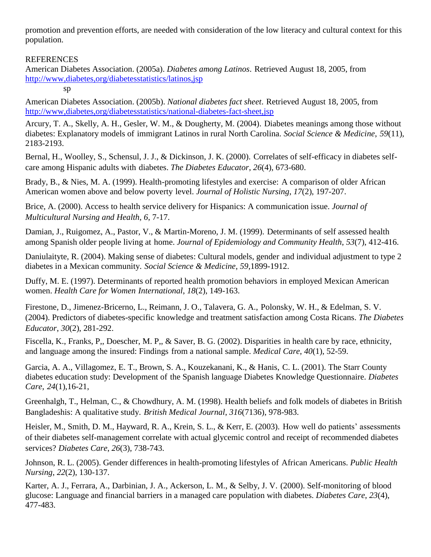promotion and prevention efforts, are needed with consideration of the low literacy and cultural context for this population.

# REFERENCES

American Diabetes Association. (2005a). *Diabetes among Latinos*. Retrieved August 18, 2005, from [http://www,diabetes,org/diabetess](http://www.diabetes.org/diabetes-statistics/latinos.jsp)tatistics/latinos,jsp

sp

American Diabetes Association. (2005b). *National diabetes fact sheet*. Retrieved August 18, 2005, from [http://www,diabetes,org/diabetess](http://www.diabetes.org/diabetes-statistics/national-diabetes-fact-sheet.jsp)tatistics/national-diabetes-fact-sheet,jsp

Arcury, T. A., Skelly, A. H., Gesler, W. M., & Dougherty, M. (2004). Diabetes meanings among those without diabetes: Explanatory models of immigrant Latinos in rural North Carolina. *Social Science & Medicine*, *59*(11)*,* 2183-2193.

Bernal, H., Woolley, S., Schensul, J. J., & Dickinson, J. K. (2000). Correlates of self-efficacy in diabetes selfcare among Hispanic adults with diabetes. *The Diabetes Educator*, *26*(4), 673-680.

Brady, B., & Nies, M. A. (1999). Health-promoting lifestyles and exercise: A comparison of older African American women above and below poverty level. *Journal of Holistic Nursing*, *17*(2), 197-207.

Brice, A. (2000). Access to health service delivery for Hispanics: A communication issue. *Journal of Multicultural Nursing and Health*, *6*, 7-17.

Damian, J., Ruigomez, A., Pastor, V., & Martin-Moreno, J. M. (1999). Determinants of self assessed health among Spanish older people living at home. *Journal of Epidemiology and Community Health*, *53*(7), 412-416.

Daniulaityte, R. (2004). Making sense of diabetes: Cultural models, gender and individual adjustment to type 2 diabetes in a Mexican community. *Social Science & Medicine*, *59*,1899-1912.

Duffy, M. E. (1997). Determinants of reported health promotion behaviors in employed Mexican American women. *Health Care for Women International*, *18*(2), 149-163.

Firestone, D., Jimenez-Bricerno, L., Reimann, J. O., Talavera, G. A., Polonsky, W. H., & Edelman, S. V. (2004). Predictors of diabetes-specific knowledge and treatment satisfaction among Costa Ricans. *The Diabetes Educator*, *30*(2), 281-292.

Fiscella, K., Franks, P,, Doescher, M. P,, & Saver, B. G. (2002). Disparities in health care by race, ethnicity, and language among the insured: Findings from a national sample. *Medical Care*, *40*(1), 52-59.

Garcia, A. A., Villagomez, E. T., Brown, S. A., Kouzekanani, K., & Hanis, C. L. (2001). The Starr County diabetes education study: Development of the Spanish language Diabetes Knowledge Questionnaire. *Diabetes Care*, *24*(1),16-21,

Greenhalgh, T., Helman, C., & Chowdhury, A. M. (1998). Health beliefs and folk models of diabetes in British Bangladeshis: A qualitative study. *British Medical Journal*, *316*(7136), 978-983.

Heisler, M., Smith, D. M., Hayward, R. A., Krein, S. L., & Kerr, E. (2003). How well do patients' assessments of their diabetes self-management correlate with actual glycemic control and receipt of recommended diabetes services? *Diabetes Care*, *26*(3), 738-743.

Johnson, R. L. (2005). Gender differences in health-promoting lifestyles of African Americans. *Public Health Nursing*, *22*(2), 130-137.

Karter, A. J., Ferrara, A., Darbinian, J. A., Ackerson, L. M., & Selby, J. V. (2000). Self-monitoring of blood glucose: Language and financial barriers in a managed care population with diabetes. *Diabetes Care*, *23*(4), 477-483.